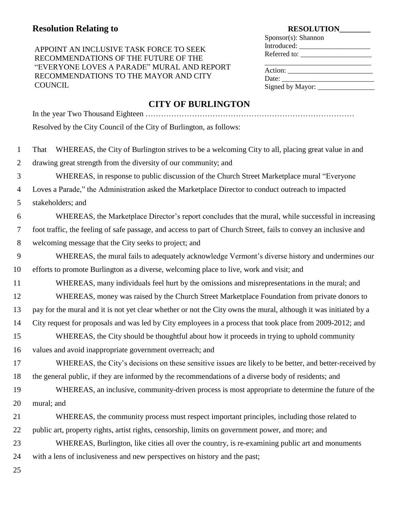# **RESOLUTION**<br>RESOLUTION

### APPOINT AN INCLUSIVE TASK FORCE TO SEEK RECOMMENDATIONS OF THE FUTURE OF THE "EVERYONE LOVES A PARADE" MURAL AND REPORT RECOMMENDATIONS TO THE MAYOR AND CITY **COUNCIL**

| $S_{\text{PON}}(s)$ : Shannon |  |
|-------------------------------|--|
|                               |  |
|                               |  |
|                               |  |
|                               |  |
|                               |  |
|                               |  |
|                               |  |

## **CITY OF BURLINGTON**

|                | <b>CITT OF DUNLINGTON</b>                                                                                        |
|----------------|------------------------------------------------------------------------------------------------------------------|
|                | Resolved by the City Council of the City of Burlington, as follows:                                              |
| $\mathbf{1}$   | WHEREAS, the City of Burlington strives to be a welcoming City to all, placing great value in and<br>That        |
| $\overline{2}$ | drawing great strength from the diversity of our community; and                                                  |
| 3              | WHEREAS, in response to public discussion of the Church Street Marketplace mural "Everyone"                      |
| 4              | Loves a Parade," the Administration asked the Marketplace Director to conduct outreach to impacted               |
| 5              | stakeholders; and                                                                                                |
| 6              | WHEREAS, the Marketplace Director's report concludes that the mural, while successful in increasing              |
| 7              | foot traffic, the feeling of safe passage, and access to part of Church Street, fails to convey an inclusive and |
| 8              | welcoming message that the City seeks to project; and                                                            |
| 9              | WHEREAS, the mural fails to adequately acknowledge Vermont's diverse history and undermines our                  |
| 10             | efforts to promote Burlington as a diverse, welcoming place to live, work and visit; and                         |
| 11             | WHEREAS, many individuals feel hurt by the omissions and misrepresentations in the mural; and                    |
| 12             | WHEREAS, money was raised by the Church Street Marketplace Foundation from private donors to                     |
| 13             | pay for the mural and it is not yet clear whether or not the City owns the mural, although it was initiated by a |
| 14             | City request for proposals and was led by City employees in a process that took place from 2009-2012; and        |
| 15             | WHEREAS, the City should be thoughtful about how it proceeds in trying to uphold community                       |
| 16             | values and avoid inappropriate government overreach; and                                                         |
| 17             | WHEREAS, the City's decisions on these sensitive issues are likely to be better, and better-received by          |
| 18             | the general public, if they are informed by the recommendations of a diverse body of residents; and              |
| 19             | WHEREAS, an inclusive, community-driven process is most appropriate to determine the future of the               |
| 20             | mural; and                                                                                                       |
| 21             | WHEREAS, the community process must respect important principles, including those related to                     |
| 22             | public art, property rights, artist rights, censorship, limits on government power, and more; and                |
| 23             | WHEREAS, Burlington, like cities all over the country, is re-examining public art and monuments                  |
| 24             | with a lens of inclusiveness and new perspectives on history and the past;                                       |
|                |                                                                                                                  |

25